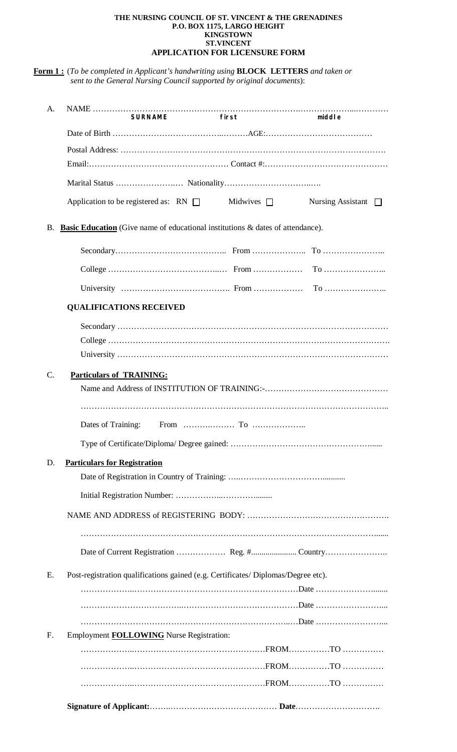## **THE NURSING COUNCIL OF ST. VINCENT & THE GRENADINES P.O. BOX 1175, LARGO HEIGHT KINGSTOWN ST.VINCENT APPLICATION FOR LICENSURE FORM**

**Form 1 :** (*To be completed in Applicant's handwriting using* **BLOCK LETTERS** *and taken or sent to the General Nursing Council supported by original documents*):

| A.        |                                                                                       | <b>SURNAME</b> | first | middle                   |
|-----------|---------------------------------------------------------------------------------------|----------------|-------|--------------------------|
|           |                                                                                       |                |       |                          |
|           |                                                                                       |                |       |                          |
|           |                                                                                       |                |       |                          |
|           |                                                                                       |                |       |                          |
|           | Application to be registered as: $RN \Box$ Midwives $\Box$                            |                |       | Nursing Assistant $\Box$ |
| <b>B.</b> | <b>Basic Education</b> (Give name of educational institutions & dates of attendance). |                |       |                          |
|           |                                                                                       |                |       |                          |
|           |                                                                                       |                |       | $To$                     |
|           |                                                                                       |                |       |                          |
|           | <b>QUALIFICATIONS RECEIVED</b>                                                        |                |       |                          |
|           |                                                                                       |                |       |                          |
|           |                                                                                       |                |       |                          |
|           |                                                                                       |                |       |                          |
| $C$ .     | <b>Particulars of TRAINING:</b>                                                       |                |       |                          |
|           |                                                                                       |                |       |                          |
|           |                                                                                       |                |       |                          |
|           |                                                                                       |                |       |                          |
|           |                                                                                       |                |       |                          |
| D.        | <b>Particulars for Registration</b>                                                   |                |       |                          |
|           |                                                                                       |                |       |                          |
|           |                                                                                       |                |       |                          |
|           |                                                                                       |                |       |                          |
|           |                                                                                       |                |       |                          |
|           |                                                                                       |                |       |                          |
| Е.        | Post-registration qualifications gained (e.g. Certificates/ Diplomas/Degree etc).     |                |       |                          |
|           |                                                                                       |                |       |                          |
|           |                                                                                       |                |       |                          |
|           |                                                                                       |                |       |                          |
| F.        | Employment <b>FOLLOWING</b> Nurse Registration:                                       |                |       |                          |
|           |                                                                                       |                |       |                          |
|           |                                                                                       |                |       |                          |
|           |                                                                                       |                |       |                          |
|           |                                                                                       |                |       |                          |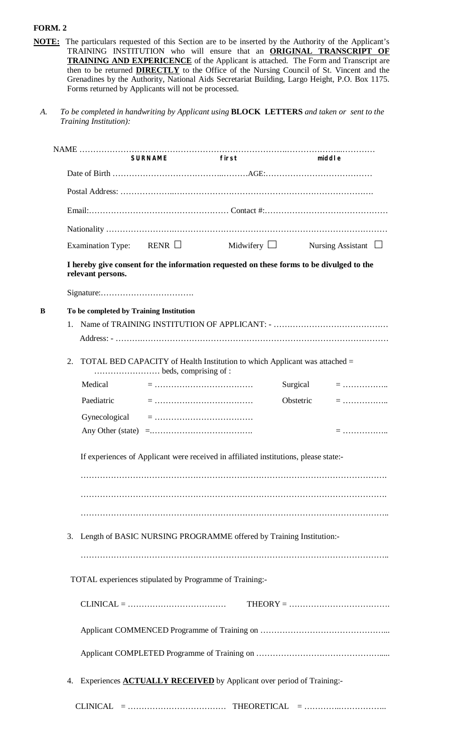## **FORM. 2**

- **NOTE:** The particulars requested of this Section are to be inserted by the Authority of the Applicant's TRAINING INSTITUTION who will ensure that an **ORIGINAL TRANSCRIPT OF TRAINING AND EXPERICENCE** of the Applicant is attached. The Form and Transcript are then to be returned **DIRECTLY** to the Office of the Nursing Council of St. Vincent and the Grenadines by the Authority, National Aids Secretariat Building, Largo Height, P.O. Box 1175. Forms returned by Applicants will not be processed.
	- *A. To be completed in handwriting by Applicant using* **BLOCK****LETTERS** *and taken or sent to the Training Institution):*

|   |    |                                         | <b>SURNAME</b>                                                                       | first                                                                                    |           | middle                   |  |  |
|---|----|-----------------------------------------|--------------------------------------------------------------------------------------|------------------------------------------------------------------------------------------|-----------|--------------------------|--|--|
|   |    |                                         |                                                                                      |                                                                                          |           |                          |  |  |
|   |    |                                         |                                                                                      |                                                                                          |           |                          |  |  |
|   |    |                                         |                                                                                      |                                                                                          |           |                          |  |  |
|   |    |                                         |                                                                                      |                                                                                          |           |                          |  |  |
|   |    |                                         | Examination Type: RENR $\Box$                                                        | Midwifery $\Box$                                                                         |           | Nursing Assistant $\Box$ |  |  |
|   |    | relevant persons.                       |                                                                                      | I hereby give consent for the information requested on these forms to be divulged to the |           |                          |  |  |
|   |    |                                         |                                                                                      |                                                                                          |           |                          |  |  |
| в |    | To be completed by Training Institution |                                                                                      |                                                                                          |           |                          |  |  |
|   | 1. |                                         |                                                                                      |                                                                                          |           |                          |  |  |
|   |    |                                         |                                                                                      |                                                                                          |           |                          |  |  |
|   | 2. |                                         |                                                                                      | TOTAL BED CAPACITY of Health Institution to which Applicant was attached =               |           |                          |  |  |
|   |    | Medical                                 |                                                                                      |                                                                                          | Surgical  | $=$                      |  |  |
|   |    | Paediatric                              |                                                                                      |                                                                                          | Obstetric | $=$                      |  |  |
|   |    |                                         |                                                                                      |                                                                                          |           |                          |  |  |
|   |    |                                         |                                                                                      |                                                                                          |           | $=$                      |  |  |
|   |    |                                         |                                                                                      | If experiences of Applicant were received in affiliated institutions, please state:-     |           |                          |  |  |
|   | 3. |                                         |                                                                                      | Length of BASIC NURSING PROGRAMME offered by Training Institution:-                      |           |                          |  |  |
|   |    |                                         |                                                                                      | TOTAL experiences stipulated by Programme of Training:-                                  |           |                          |  |  |
|   |    |                                         | $CLINICAL = \dots \dots \dots \dots \dots \dots \dots \dots \dots \dots \dots \dots$ |                                                                                          |           |                          |  |  |
|   |    |                                         |                                                                                      |                                                                                          |           |                          |  |  |
|   |    |                                         |                                                                                      |                                                                                          |           |                          |  |  |
|   | 4. |                                         |                                                                                      | Experiences <b>ACTUALLY RECEIVED</b> by Applicant over period of Training:-              |           |                          |  |  |
|   |    |                                         |                                                                                      |                                                                                          |           |                          |  |  |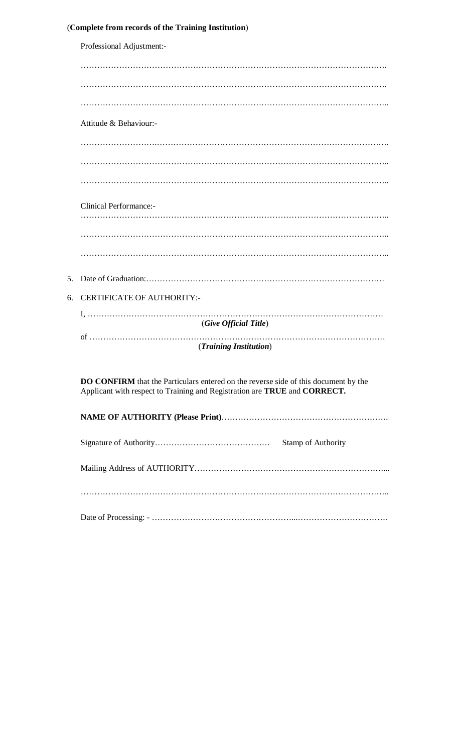|  |  | (Complete from records of the Training Institution) |  |
|--|--|-----------------------------------------------------|--|
|--|--|-----------------------------------------------------|--|

|    | Professional Adjustment:-                                                                                                                                               |
|----|-------------------------------------------------------------------------------------------------------------------------------------------------------------------------|
|    |                                                                                                                                                                         |
|    |                                                                                                                                                                         |
|    |                                                                                                                                                                         |
|    | Attitude & Behaviour:-                                                                                                                                                  |
|    |                                                                                                                                                                         |
|    |                                                                                                                                                                         |
|    |                                                                                                                                                                         |
|    | <b>Clinical Performance:-</b>                                                                                                                                           |
|    |                                                                                                                                                                         |
|    |                                                                                                                                                                         |
|    |                                                                                                                                                                         |
| 5. |                                                                                                                                                                         |
| 6. | <b>CERTIFICATE OF AUTHORITY:-</b>                                                                                                                                       |
|    | (Give Official Title)                                                                                                                                                   |
|    |                                                                                                                                                                         |
|    | (Training Institution)                                                                                                                                                  |
|    | <b>DO CONFIRM</b> that the Particulars entered on the reverse side of this document by the<br>Applicant with respect to Training and Registration are TRUE and CORRECT. |
|    |                                                                                                                                                                         |
|    |                                                                                                                                                                         |
|    |                                                                                                                                                                         |
|    |                                                                                                                                                                         |
|    |                                                                                                                                                                         |